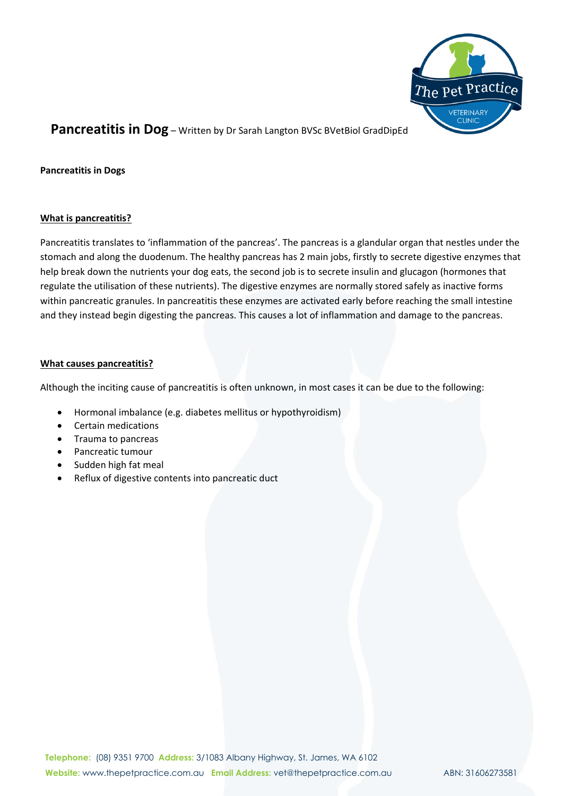

**Pancreatitis in Dogs**

### **What is pancreatitis?**

Pancreatitis translates to 'inflammation of the pancreas'. The pancreas is a glandular organ that nestles under the stomach and along the duodenum. The healthy pancreas has 2 main jobs, firstly to secrete digestive enzymes that help break down the nutrients your dog eats, the second job is to secrete insulin and glucagon (hormones that regulate the utilisation of these nutrients). The digestive enzymes are normally stored safely as inactive forms within pancreatic granules. In pancreatitis these enzymes are activated early before reaching the small intestine and they instead begin digesting the pancreas. This causes a lot of inflammation and damage to the pancreas.

#### **What causes pancreatitis?**

Although the inciting cause of pancreatitis is often unknown, in most cases it can be due to the following:

- Hormonal imbalance (e.g. diabetes mellitus or hypothyroidism)
- Certain medications
- Trauma to pancreas
- Pancreatic tumour
- Sudden high fat meal
- Reflux of digestive contents into pancreatic duct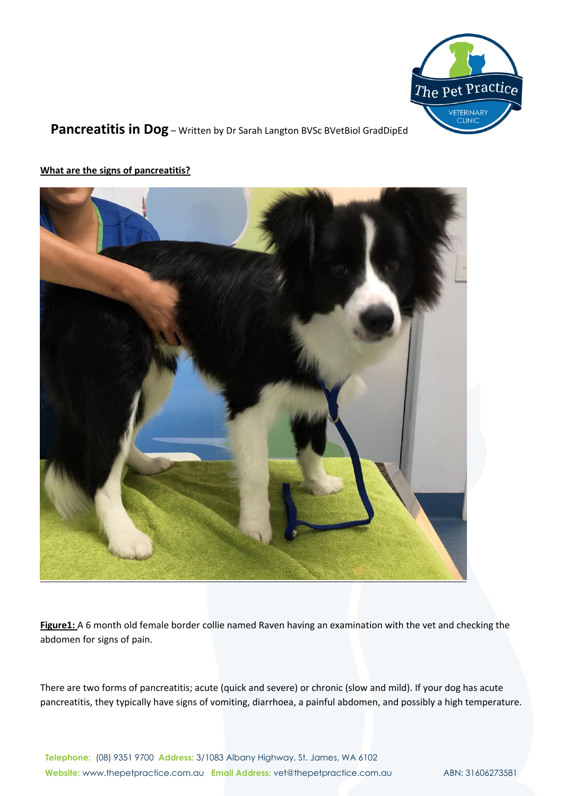



**What are the signs of pancreatitis?**

**Figure1:** A 6 month old female border collie named Raven having an examination with the vet and checking the abdomen for signs of pain.

There are two forms of pancreatitis; acute (quick and severe) or chronic (slow and mild). If your dog has acute pancreatitis, they typically have signs of vomiting, diarrhoea, a painful abdomen, and possibly a high temperature.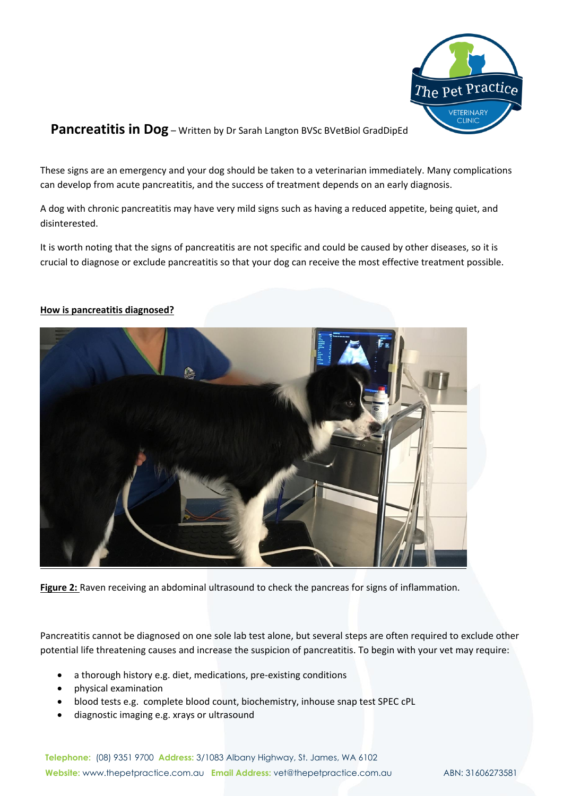

These signs are an emergency and your dog should be taken to a veterinarian immediately. Many complications can develop from acute pancreatitis, and the success of treatment depends on an early diagnosis.

A dog with chronic pancreatitis may have very mild signs such as having a reduced appetite, being quiet, and disinterested.

It is worth noting that the signs of pancreatitis are not specific and could be caused by other diseases, so it is crucial to diagnose or exclude pancreatitis so that your dog can receive the most effective treatment possible.



### **How is pancreatitis diagnosed?**

**Figure 2:** Raven receiving an abdominal ultrasound to check the pancreas for signs of inflammation.

Pancreatitis cannot be diagnosed on one sole lab test alone, but several steps are often required to exclude other potential life threatening causes and increase the suspicion of pancreatitis. To begin with your vet may require:

- a thorough history e.g. diet, medications, pre-existing conditions
- physical examination
- blood tests e.g. complete blood count, biochemistry, inhouse snap test SPEC cPL
- diagnostic imaging e.g. xrays or ultrasound

**Telephone:** (08) 9351 9700 **Address:** 3/1083 Albany Highway, St. James, WA 6102 **Website:** www.thepetpractice.com.au **Email Address:** vet@thepetpractice.com.au ABN: 31606273581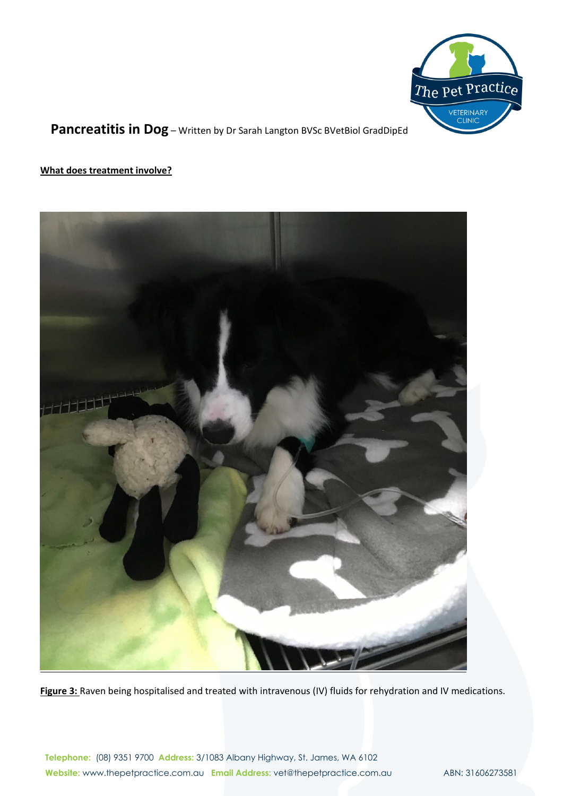

### **What does treatment involve?**



**Figure 3:** Raven being hospitalised and treated with intravenous (IV) fluids for rehydration and IV medications.

**Telephone:** (08) 9351 9700 **Address:** 3/1083 Albany Highway, St. James, WA 6102 Website: www.thepetpractice.com.au **Email Address:** vet@thepetpractice.com.au ABN: 31606273581